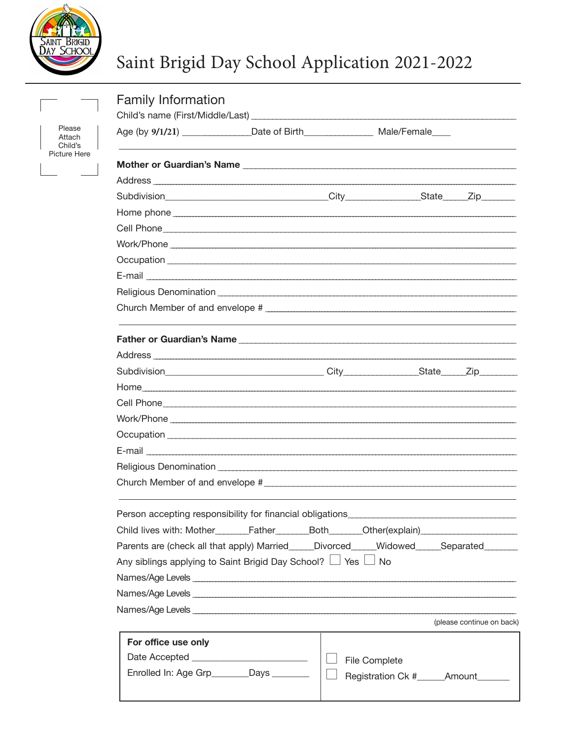

Picture

## Saint Brigid Day School Application 2021-2022

|                                           | <b>Family Information</b>                                                                                                                                                                                                      |  |                         |                                     |                          |  |  |  |  |
|-------------------------------------------|--------------------------------------------------------------------------------------------------------------------------------------------------------------------------------------------------------------------------------|--|-------------------------|-------------------------------------|--------------------------|--|--|--|--|
|                                           |                                                                                                                                                                                                                                |  |                         |                                     |                          |  |  |  |  |
| Please<br>Attach<br>Child's<br>cture Here |                                                                                                                                                                                                                                |  |                         |                                     |                          |  |  |  |  |
|                                           |                                                                                                                                                                                                                                |  |                         |                                     |                          |  |  |  |  |
|                                           |                                                                                                                                                                                                                                |  |                         |                                     |                          |  |  |  |  |
|                                           |                                                                                                                                                                                                                                |  |                         |                                     |                          |  |  |  |  |
|                                           |                                                                                                                                                                                                                                |  |                         |                                     |                          |  |  |  |  |
|                                           |                                                                                                                                                                                                                                |  |                         |                                     |                          |  |  |  |  |
|                                           |                                                                                                                                                                                                                                |  |                         |                                     |                          |  |  |  |  |
|                                           |                                                                                                                                                                                                                                |  |                         |                                     |                          |  |  |  |  |
|                                           |                                                                                                                                                                                                                                |  |                         |                                     |                          |  |  |  |  |
|                                           |                                                                                                                                                                                                                                |  |                         |                                     |                          |  |  |  |  |
|                                           |                                                                                                                                                                                                                                |  |                         |                                     |                          |  |  |  |  |
|                                           |                                                                                                                                                                                                                                |  |                         |                                     |                          |  |  |  |  |
|                                           |                                                                                                                                                                                                                                |  |                         |                                     |                          |  |  |  |  |
|                                           |                                                                                                                                                                                                                                |  |                         |                                     |                          |  |  |  |  |
|                                           |                                                                                                                                                                                                                                |  |                         |                                     |                          |  |  |  |  |
|                                           |                                                                                                                                                                                                                                |  |                         |                                     |                          |  |  |  |  |
|                                           |                                                                                                                                                                                                                                |  |                         |                                     |                          |  |  |  |  |
|                                           |                                                                                                                                                                                                                                |  |                         |                                     |                          |  |  |  |  |
|                                           |                                                                                                                                                                                                                                |  |                         |                                     |                          |  |  |  |  |
|                                           |                                                                                                                                                                                                                                |  |                         |                                     |                          |  |  |  |  |
|                                           |                                                                                                                                                                                                                                |  |                         |                                     |                          |  |  |  |  |
|                                           | Person accepting responsibility for financial obligations                                                                                                                                                                      |  |                         |                                     |                          |  |  |  |  |
|                                           | Child lives with: Mother________Father_________Both_______Other(explain)____________________________                                                                                                                           |  |                         |                                     |                          |  |  |  |  |
|                                           | Parents are (check all that apply) Married_____Divorced_____Widowed_____Separated______                                                                                                                                        |  |                         |                                     |                          |  |  |  |  |
|                                           | Any siblings applying to Saint Brigid Day School? $\Box$ Yes $\Box$ No                                                                                                                                                         |  |                         |                                     |                          |  |  |  |  |
|                                           | Names/Age Levels experience and the contract of the contract of the contract of the contract of the contract of the contract of the contract of the contract of the contract of the contract of the contract of the contract o |  |                         |                                     |                          |  |  |  |  |
|                                           |                                                                                                                                                                                                                                |  |                         |                                     |                          |  |  |  |  |
|                                           |                                                                                                                                                                                                                                |  |                         |                                     | (please continue on back |  |  |  |  |
|                                           | For office use only<br>Date Accepted _________________________                                                                                                                                                                 |  |                         |                                     |                          |  |  |  |  |
|                                           |                                                                                                                                                                                                                                |  | $\Box$<br>File Complete |                                     |                          |  |  |  |  |
|                                           | Enrolled In: Age Grp________Days ________                                                                                                                                                                                      |  |                         | Registration Ck #______Amount______ |                          |  |  |  |  |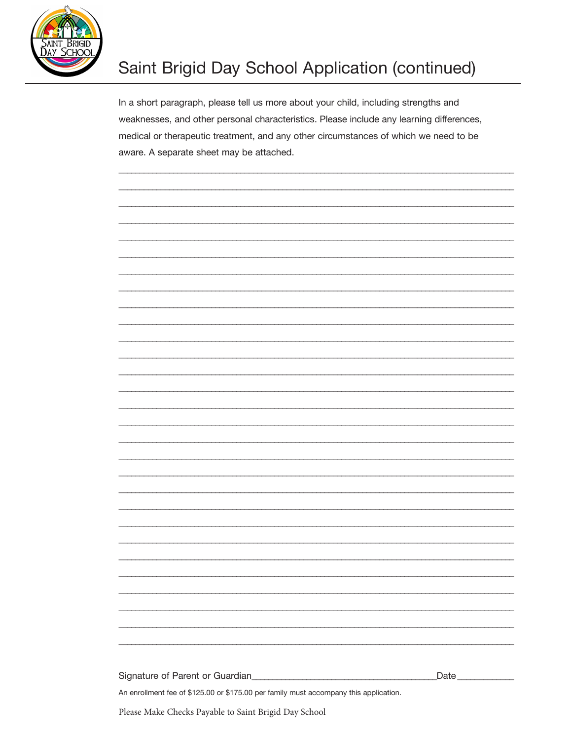

## Saint Brigid Day School Application (continued)

In a short paragraph, please tell us more about your child, including strengths andweaknesses, and other personal characteristics. Please include any learning differences, medical or therapeutic treatment, and any other circumstances of which we need to be aware. A separate sheet may be attached.

| An enrollment fee of \$125.00 or \$175.00 per family must accompany this application. |      |
|---------------------------------------------------------------------------------------|------|
| Signature of Parent or Guardian<br><u> Landon Communication</u>                       | Date |
|                                                                                       |      |
|                                                                                       |      |
|                                                                                       |      |
|                                                                                       |      |
|                                                                                       |      |
|                                                                                       |      |
|                                                                                       |      |
|                                                                                       |      |
|                                                                                       |      |
|                                                                                       |      |
|                                                                                       |      |
|                                                                                       |      |
|                                                                                       |      |
|                                                                                       |      |
|                                                                                       |      |
|                                                                                       |      |
|                                                                                       |      |
|                                                                                       |      |
|                                                                                       |      |
|                                                                                       |      |
|                                                                                       |      |
|                                                                                       |      |
|                                                                                       |      |
|                                                                                       |      |
|                                                                                       |      |

Please Make Checks Payable to Saint Brigid Day School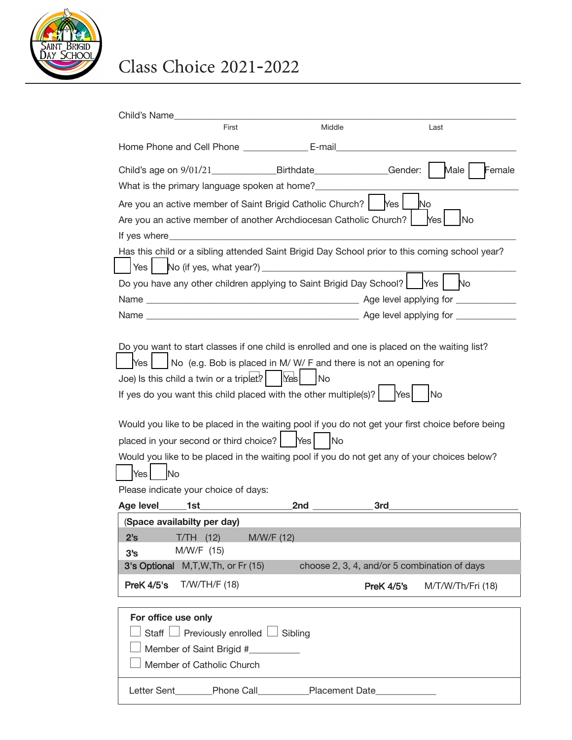

## Class Choice 2021-2022

| Child's Name                                                                                                                                                                                                                                                                                                                                                                                                                                                                                                                                                                                                                                   |                                                                                                              |                                                                                                |            |                                              |  |  |
|------------------------------------------------------------------------------------------------------------------------------------------------------------------------------------------------------------------------------------------------------------------------------------------------------------------------------------------------------------------------------------------------------------------------------------------------------------------------------------------------------------------------------------------------------------------------------------------------------------------------------------------------|--------------------------------------------------------------------------------------------------------------|------------------------------------------------------------------------------------------------|------------|----------------------------------------------|--|--|
|                                                                                                                                                                                                                                                                                                                                                                                                                                                                                                                                                                                                                                                | First                                                                                                        | Middle                                                                                         |            | Last                                         |  |  |
|                                                                                                                                                                                                                                                                                                                                                                                                                                                                                                                                                                                                                                                | Home Phone and Cell Phone _______________ E-mail_                                                            |                                                                                                |            |                                              |  |  |
|                                                                                                                                                                                                                                                                                                                                                                                                                                                                                                                                                                                                                                                |                                                                                                              | Child's age on 9/01/21 Birthdate Gender:                                                       |            | Male<br>Female                               |  |  |
|                                                                                                                                                                                                                                                                                                                                                                                                                                                                                                                                                                                                                                                |                                                                                                              | What is the primary language spoken at home?                                                   |            |                                              |  |  |
|                                                                                                                                                                                                                                                                                                                                                                                                                                                                                                                                                                                                                                                |                                                                                                              | Are you an active member of Saint Brigid Catholic Church?                                      | Yes        | No                                           |  |  |
|                                                                                                                                                                                                                                                                                                                                                                                                                                                                                                                                                                                                                                                | If yes where $\sqrt{2\pi}$                                                                                   | Are you an active member of another Archdiocesan Catholic Church?                              |            | <b>No</b><br><b>Yes</b>                      |  |  |
|                                                                                                                                                                                                                                                                                                                                                                                                                                                                                                                                                                                                                                                |                                                                                                              | Has this child or a sibling attended Saint Brigid Day School prior to this coming school year? |            |                                              |  |  |
| Yes                                                                                                                                                                                                                                                                                                                                                                                                                                                                                                                                                                                                                                            |                                                                                                              | No (if yes, what year?) ___________                                                            |            |                                              |  |  |
|                                                                                                                                                                                                                                                                                                                                                                                                                                                                                                                                                                                                                                                |                                                                                                              | Do you have any other children applying to Saint Brigid Day School?                            |            | No<br>IYes I                                 |  |  |
|                                                                                                                                                                                                                                                                                                                                                                                                                                                                                                                                                                                                                                                |                                                                                                              |                                                                                                |            |                                              |  |  |
|                                                                                                                                                                                                                                                                                                                                                                                                                                                                                                                                                                                                                                                |                                                                                                              |                                                                                                |            |                                              |  |  |
| Do you want to start classes if one child is enrolled and one is placed on the waiting list?<br>No (e.g. Bob is placed in M/W/F and there is not an opening for<br>Yes<br>Joe) Is this child a twin or a triplet?<br>Yes<br> No<br>If yes do you want this child placed with the other multiple(s)?<br><b>No</b><br>Yes<br>Would you like to be placed in the waiting pool if you do not get your first choice before being<br>placed in your second or third choice?<br>Yes<br><b>No</b><br>Would you like to be placed in the waiting pool if you do not get any of your choices below?<br>Yes<br>No<br>Please indicate your choice of days: |                                                                                                              |                                                                                                |            |                                              |  |  |
| Age level                                                                                                                                                                                                                                                                                                                                                                                                                                                                                                                                                                                                                                      | 1st                                                                                                          | 2nd                                                                                            | 3rd        |                                              |  |  |
| 2's<br>$31$ s                                                                                                                                                                                                                                                                                                                                                                                                                                                                                                                                                                                                                                  | (Space availabilty per day)<br>$T/TH$ (12)<br>M/W/F (15)<br>3's Optional M, T, W, Th, or Fr (15)             | M/W/F (12)                                                                                     |            | choose 2, 3, 4, and/or 5 combination of days |  |  |
| PreK 4/5's                                                                                                                                                                                                                                                                                                                                                                                                                                                                                                                                                                                                                                     | $T/W/TH/F$ (18)                                                                                              |                                                                                                | PreK 4/5's | M/T/W/Th/Fri (18)                            |  |  |
| For office use only<br>Staff $\lfloor$                                                                                                                                                                                                                                                                                                                                                                                                                                                                                                                                                                                                         | $\Box$ Previously enrolled $\Box$ Sibling<br>Member of Saint Brigid #__________<br>Member of Catholic Church | Letter Sent________Phone Call___________Placement Date__________________________               |            |                                              |  |  |
|                                                                                                                                                                                                                                                                                                                                                                                                                                                                                                                                                                                                                                                |                                                                                                              |                                                                                                |            |                                              |  |  |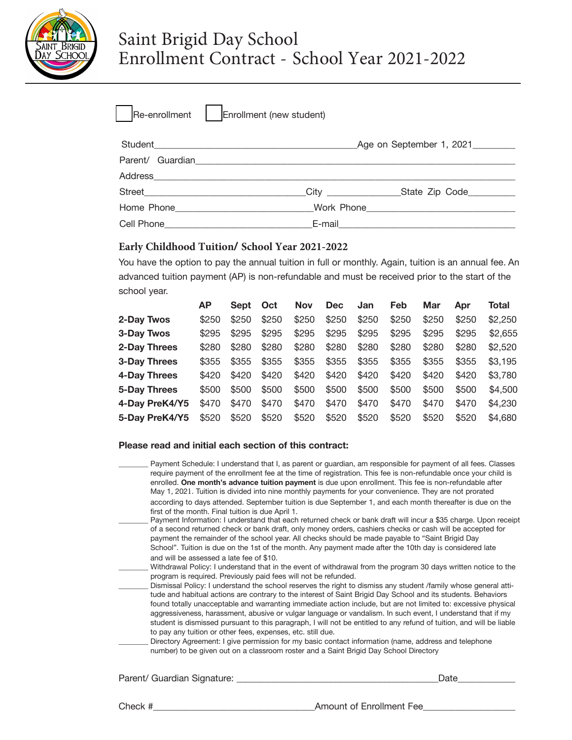

| Re-enrollment | Enrollment (new student) |  |
|---------------|--------------------------|--|
|               |                          |  |

|                                                                                                                                                                                                                                      | Age on September 1, 2021 |                                                                                                               |  |  |
|--------------------------------------------------------------------------------------------------------------------------------------------------------------------------------------------------------------------------------------|--------------------------|---------------------------------------------------------------------------------------------------------------|--|--|
| Parent/ Guardian                                                                                                                                                                                                                     |                          |                                                                                                               |  |  |
|                                                                                                                                                                                                                                      |                          |                                                                                                               |  |  |
|                                                                                                                                                                                                                                      | City ________________    |                                                                                                               |  |  |
| Home Phone Management Communication                                                                                                                                                                                                  |                          | Work Phone 2008 2010 12:00:00 Phone 2010 12:00:00 Phone 2010 12:00:00 Phone 2010 12:00:00 Phone 2010 12:00:00 |  |  |
| Cell Phone <b>Contract Contract Contract Contract Contract Contract Contract Contract Contract Contract Contract Contract Contract Contract Contract Contract Contract Contract Contract Contract Contract Contract Contract Con</b> |                          |                                                                                                               |  |  |

#### **Early Childhood Tuition/ School Year 2021-2022**

You have the option to pay the annual tuition in full or monthly. Again, tuition is an annual fee. An advanced tuition payment (AP) is non-refundable and must be received prior to the start of the school year.

|                | <b>AP</b> | Sept  | Oct   | <b>Nov</b> | <b>Dec</b> | Jan   | Feb   | Mar   | Apr   | Total   |
|----------------|-----------|-------|-------|------------|------------|-------|-------|-------|-------|---------|
| 2-Day Twos     | \$250     | \$250 | \$250 | \$250      | \$250      | \$250 | \$250 | \$250 | \$250 | \$2,250 |
| 3-Day Twos     | \$295     | \$295 | \$295 | \$295      | \$295      | \$295 | \$295 | \$295 | \$295 | \$2,655 |
| 2-Day Threes   | \$280     | \$280 | \$280 | \$280      | \$280      | \$280 | \$280 | \$280 | \$280 | \$2,520 |
| 3-Day Threes   | \$355     | \$355 | \$355 | \$355      | \$355      | \$355 | \$355 | \$355 | \$355 | \$3,195 |
| 4-Day Threes   | \$420     | \$420 | \$420 | \$420      | \$420      | \$420 | \$420 | \$420 | \$420 | \$3,780 |
| 5-Day Threes   | \$500     | \$500 | \$500 | \$500      | \$500      | \$500 | \$500 | \$500 | \$500 | \$4,500 |
| 4-Day PreK4/Y5 | \$470     | \$470 | \$470 | \$470      | \$470      | \$470 | \$470 | \$470 | \$470 | \$4,230 |
| 5-Day PreK4/Y5 | \$520     | \$520 | \$520 | \$520      | \$520      | \$520 | \$520 | \$520 | \$520 | \$4,680 |

#### **Please read and initial each section of this contract:**

Payment Schedule: I understand that I, as parent or guardian, am responsible for payment of all fees. Classes require payment of the enrollment fee at the time of registration. This fee is non-refundable once your child is enrolled. **One month's advance tuition payment** is due upon enrollment. This fee is non-refundable after May 1, 2021. Tuition is divided into nine monthly payments for your convenience. They are not prorated according to days attended. September tuition is due September 1, and each month thereafter is due on the first of the month. Final tuition is due April 1. Payment Information: I understand that each returned check or bank draft will incur a \$35 charge. Upon receipt of a second returned check or bank draft, only money orders, cashiers checks or cash will be accepted for payment the remainder of the school year. All checks should be made payable to "Saint Brigid Day School". Tuition is due on the 1st of the month. Any payment made after the 10th day is considered late and will be assessed a late fee of \$10. Withdrawal Policy: I understand that in the event of withdrawal from the program 30 days written notice to the program is required. Previously paid fees will not be refunded. Dismissal Policy: I understand the school reserves the right to dismiss any student /family whose general attitude and habitual actions are contrary to the interest of Saint Brigid Day School and its students. Behaviors found totally unacceptable and warranting immediate action include, but are not limited to: excessive physical aggressiveness, harassment, abusive or vulgar language or vandalism. In such event, I understand that if my student is dismissed pursuant to this paragraph, I will not be entitled to any refund of tuition, and will be liable to pay any tuition or other fees, expenses, etc. still due. Directory Agreement: I give permission for my basic contact information (name, address and telephone number) to be given out on a classroom roster and a Saint Brigid Day School Directory

Parent/ Guardian Signature: \_\_\_\_\_\_\_\_\_\_\_\_\_\_\_\_\_\_\_\_\_\_\_\_\_\_\_\_\_\_\_\_\_\_\_\_\_\_\_\_\_\_\_\_\_Date\_\_\_\_\_\_\_\_\_\_\_\_\_

Check #\_\_\_\_\_\_\_\_\_\_\_\_\_\_\_\_\_\_\_\_\_\_\_\_\_\_\_\_\_\_\_\_\_\_\_Amount of Enrollment Fee\_\_\_\_\_\_\_\_\_\_\_\_\_\_\_\_\_\_\_\_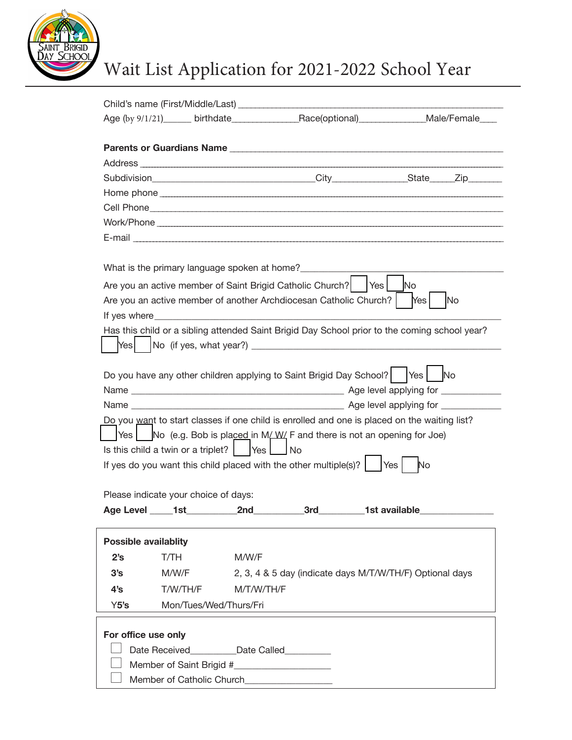

# Wait List Application for 2021-2022 School Year

|                             |                                      | Child's name (First/Middle/Last) ________________                                                                                                                                                                                  |                               |  |  |  |
|-----------------------------|--------------------------------------|------------------------------------------------------------------------------------------------------------------------------------------------------------------------------------------------------------------------------------|-------------------------------|--|--|--|
|                             |                                      | Age (by 9/1/21)______ birthdate____________________Race(optional)______________Male/Female____                                                                                                                                     |                               |  |  |  |
|                             |                                      |                                                                                                                                                                                                                                    |                               |  |  |  |
|                             |                                      |                                                                                                                                                                                                                                    |                               |  |  |  |
|                             |                                      |                                                                                                                                                                                                                                    |                               |  |  |  |
|                             |                                      |                                                                                                                                                                                                                                    |                               |  |  |  |
|                             |                                      |                                                                                                                                                                                                                                    |                               |  |  |  |
|                             |                                      |                                                                                                                                                                                                                                    |                               |  |  |  |
|                             |                                      |                                                                                                                                                                                                                                    |                               |  |  |  |
|                             |                                      |                                                                                                                                                                                                                                    |                               |  |  |  |
|                             |                                      | What is the primary language spoken at home?                                                                                                                                                                                       |                               |  |  |  |
|                             |                                      | Are you an active member of Saint Brigid Catholic Church?   Yes                                                                                                                                                                    | <b>No</b>                     |  |  |  |
|                             |                                      | Are you an active member of another Archdiocesan Catholic Church?                                                                                                                                                                  | <b>No</b><br>Yes <sub>l</sub> |  |  |  |
|                             |                                      | If yes where the contract of the contract of the contract of the contract of the contract of the contract of the contract of the contract of the contract of the contract of the contract of the contract of the contract of t     |                               |  |  |  |
|                             |                                      | Has this child or a sibling attended Saint Brigid Day School prior to the coming school year?                                                                                                                                      |                               |  |  |  |
| Yesl                        |                                      |                                                                                                                                                                                                                                    |                               |  |  |  |
|                             |                                      |                                                                                                                                                                                                                                    |                               |  |  |  |
|                             |                                      | Do you have any other children applying to Saint Brigid Day School?   Yes   No                                                                                                                                                     |                               |  |  |  |
|                             |                                      |                                                                                                                                                                                                                                    |                               |  |  |  |
|                             |                                      |                                                                                                                                                                                                                                    |                               |  |  |  |
|                             |                                      | Do you want to start classes if one child is enrolled and one is placed on the waiting list?                                                                                                                                       |                               |  |  |  |
| Yes I                       |                                      | No (e.g. Bob is placed in M/W/F and there is not an opening for Joe)                                                                                                                                                               |                               |  |  |  |
|                             |                                      | Is this child a twin or a triplet?     Yes   No                                                                                                                                                                                    |                               |  |  |  |
|                             |                                      | If yes do you want this child placed with the other multiple(s)? $\vert$                                                                                                                                                           | Yes  <br>No                   |  |  |  |
|                             |                                      |                                                                                                                                                                                                                                    |                               |  |  |  |
|                             | Please indicate your choice of days: |                                                                                                                                                                                                                                    |                               |  |  |  |
|                             |                                      | Age Level 1st 2nd<br>3rd and the state of the state of the state of the state of the state of the state of the state of the state o                                                                                                | 1st available                 |  |  |  |
| <b>Possible availablity</b> |                                      |                                                                                                                                                                                                                                    |                               |  |  |  |
| 2's                         | T/TH                                 | M/W/F                                                                                                                                                                                                                              |                               |  |  |  |
| 3's                         | M/W/F                                | 2, 3, 4 & 5 day (indicate days M/T/W/TH/F) Optional days                                                                                                                                                                           |                               |  |  |  |
| 4's                         | T/W/TH/F                             | M/T/W/TH/F                                                                                                                                                                                                                         |                               |  |  |  |
| Y5's                        | Mon/Tues/Wed/Thurs/Fri               |                                                                                                                                                                                                                                    |                               |  |  |  |
|                             |                                      |                                                                                                                                                                                                                                    |                               |  |  |  |
| For office use only         |                                      |                                                                                                                                                                                                                                    |                               |  |  |  |
|                             |                                      | Date Received <b>National Parameter Date Called National Parameter Parameter Parameter Parameter Parameter Parameter Parameter Parameter Parameter Parameter Parameter Parameter Parameter Parameter Parameter Parameter Param</b> |                               |  |  |  |
|                             |                                      |                                                                                                                                                                                                                                    |                               |  |  |  |
|                             |                                      | Member of Catholic Church                                                                                                                                                                                                          |                               |  |  |  |
|                             |                                      |                                                                                                                                                                                                                                    |                               |  |  |  |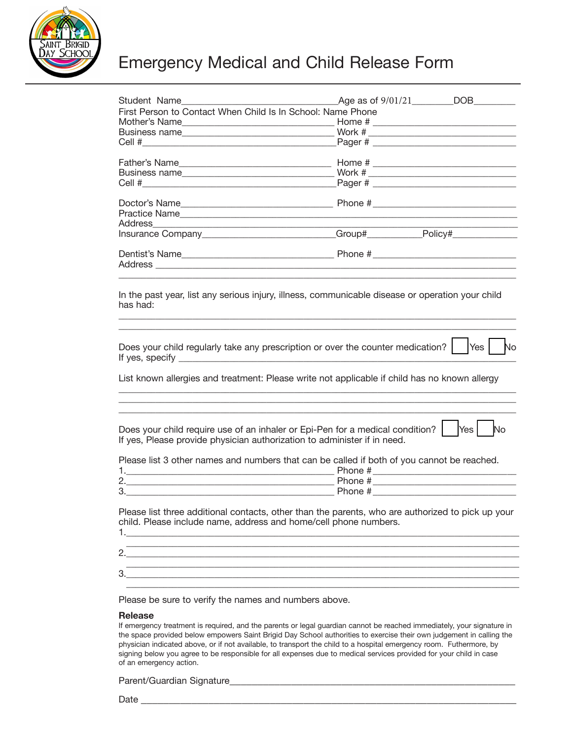

### Emergency Medical and Child Release Form

| Student Name<br>First Person to Contact When Child Is In School: Name Phone                                                                                                                                                                | Age as of $9/01/21$ DOB                                                                                                                                                                                                                                                                                               |           |
|--------------------------------------------------------------------------------------------------------------------------------------------------------------------------------------------------------------------------------------------|-----------------------------------------------------------------------------------------------------------------------------------------------------------------------------------------------------------------------------------------------------------------------------------------------------------------------|-----------|
|                                                                                                                                                                                                                                            |                                                                                                                                                                                                                                                                                                                       |           |
|                                                                                                                                                                                                                                            |                                                                                                                                                                                                                                                                                                                       |           |
|                                                                                                                                                                                                                                            |                                                                                                                                                                                                                                                                                                                       |           |
| Father's Name                                                                                                                                                                                                                              | Home # $\frac{1}{2}$ $\frac{1}{2}$ $\frac{1}{2}$ $\frac{1}{2}$ $\frac{1}{2}$ $\frac{1}{2}$ $\frac{1}{2}$ $\frac{1}{2}$ $\frac{1}{2}$ $\frac{1}{2}$ $\frac{1}{2}$ $\frac{1}{2}$ $\frac{1}{2}$ $\frac{1}{2}$ $\frac{1}{2}$ $\frac{1}{2}$ $\frac{1}{2}$ $\frac{1}{2}$ $\frac{1}{2}$ $\frac{1}{2}$ $\frac{1}{2}$ $\frac{$ |           |
| Business name                                                                                                                                                                                                                              |                                                                                                                                                                                                                                                                                                                       |           |
|                                                                                                                                                                                                                                            |                                                                                                                                                                                                                                                                                                                       |           |
|                                                                                                                                                                                                                                            |                                                                                                                                                                                                                                                                                                                       |           |
|                                                                                                                                                                                                                                            |                                                                                                                                                                                                                                                                                                                       |           |
|                                                                                                                                                                                                                                            |                                                                                                                                                                                                                                                                                                                       |           |
| Insurance Company________________________Group#____________Policy#______________                                                                                                                                                           |                                                                                                                                                                                                                                                                                                                       |           |
|                                                                                                                                                                                                                                            |                                                                                                                                                                                                                                                                                                                       |           |
| Does your child regularly take any prescription or over the counter medication?    Yes<br>List known allergies and treatment: Please write not applicable if child has no known allergy                                                    |                                                                                                                                                                                                                                                                                                                       | No        |
| Does your child require use of an inhaler or Epi-Pen for a medical condition?                                                                                                                                                              |                                                                                                                                                                                                                                                                                                                       | No<br>Yes |
| If yes, Please provide physician authorization to administer if in need.                                                                                                                                                                   |                                                                                                                                                                                                                                                                                                                       |           |
| Please list 3 other names and numbers that can be called if both of you cannot be reached.                                                                                                                                                 |                                                                                                                                                                                                                                                                                                                       |           |
|                                                                                                                                                                                                                                            |                                                                                                                                                                                                                                                                                                                       |           |
| <u>Phone: # 2000 and # 2000 and # 2000 and # 2000 and # 2000 and # 2000 and # 2000 and # 2000 and # 2000 and # 2000 and # 2000 and # 2000 and # 2000 and # 2000 and # 2000 and # 2000 and # 2000 and # 2000 and # 2000 and # 200</u><br>3. |                                                                                                                                                                                                                                                                                                                       |           |
| Please list three additional contacts, other than the parents, who are authorized to pick up your<br>child. Please include name, address and home/cell phone numbers.<br>2.                                                                |                                                                                                                                                                                                                                                                                                                       |           |
|                                                                                                                                                                                                                                            |                                                                                                                                                                                                                                                                                                                       |           |
|                                                                                                                                                                                                                                            |                                                                                                                                                                                                                                                                                                                       |           |
|                                                                                                                                                                                                                                            |                                                                                                                                                                                                                                                                                                                       |           |

Please be sure to verify the names and numbers above.

#### **Release**

If emergency treatment is required, and the parents or legal guardian cannot be reached immediately, your signature in the space provided below empowers Saint Brigid Day School authorities to exercise their own judgement in calling the physician indicated above, or if not available, to transport the child to a hospital emergency room. Futhermore, by signing below you agree to be responsible for all expenses due to medical services provided for your child in case of an emergency action.

Parent/Guardian Signature

Date \_\_\_\_\_\_\_\_\_\_\_\_\_\_\_\_\_\_\_\_\_\_\_\_\_\_\_\_\_\_\_\_\_\_\_\_\_\_\_\_\_\_\_\_\_\_\_\_\_\_\_\_\_\_\_\_\_\_\_\_\_\_\_\_\_\_\_